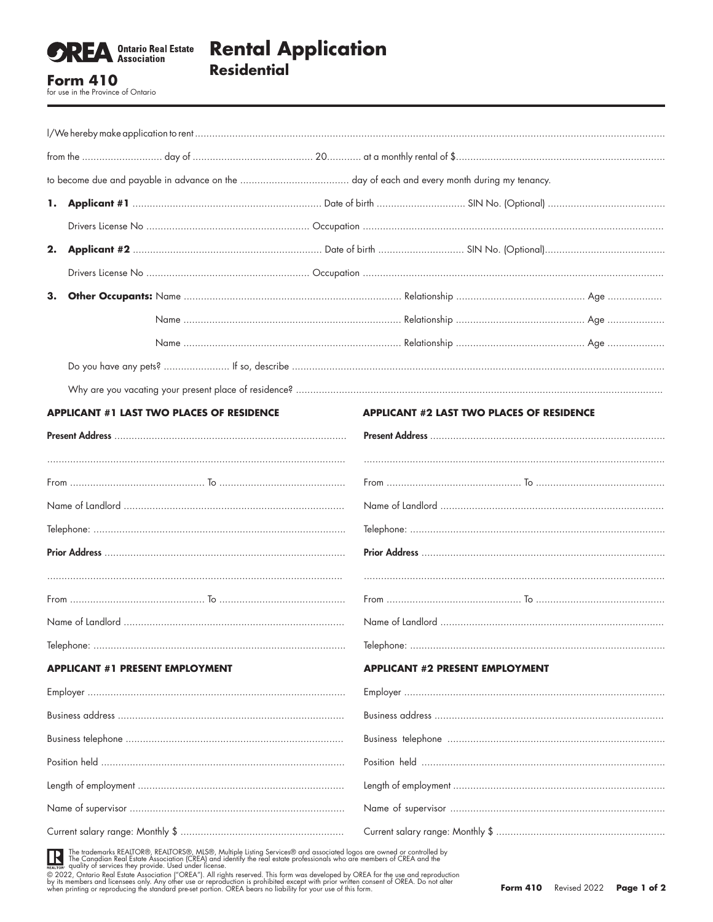

## **Rental Application Residential**

**Form 410** for use in the Province of Ontario

| 1.                                                                                                                                                                                                                                                                                                                                                                                                                                                                                               |                                                  |                                                                                                                          |                                                  |  |  |
|--------------------------------------------------------------------------------------------------------------------------------------------------------------------------------------------------------------------------------------------------------------------------------------------------------------------------------------------------------------------------------------------------------------------------------------------------------------------------------------------------|--------------------------------------------------|--------------------------------------------------------------------------------------------------------------------------|--------------------------------------------------|--|--|
|                                                                                                                                                                                                                                                                                                                                                                                                                                                                                                  |                                                  |                                                                                                                          |                                                  |  |  |
| 2.                                                                                                                                                                                                                                                                                                                                                                                                                                                                                               |                                                  |                                                                                                                          |                                                  |  |  |
|                                                                                                                                                                                                                                                                                                                                                                                                                                                                                                  |                                                  |                                                                                                                          |                                                  |  |  |
| 3.                                                                                                                                                                                                                                                                                                                                                                                                                                                                                               |                                                  |                                                                                                                          |                                                  |  |  |
|                                                                                                                                                                                                                                                                                                                                                                                                                                                                                                  |                                                  |                                                                                                                          |                                                  |  |  |
|                                                                                                                                                                                                                                                                                                                                                                                                                                                                                                  |                                                  |                                                                                                                          |                                                  |  |  |
|                                                                                                                                                                                                                                                                                                                                                                                                                                                                                                  |                                                  |                                                                                                                          |                                                  |  |  |
|                                                                                                                                                                                                                                                                                                                                                                                                                                                                                                  |                                                  |                                                                                                                          |                                                  |  |  |
|                                                                                                                                                                                                                                                                                                                                                                                                                                                                                                  | <b>APPLICANT #1 LAST TWO PLACES OF RESIDENCE</b> |                                                                                                                          | <b>APPLICANT #2 LAST TWO PLACES OF RESIDENCE</b> |  |  |
|                                                                                                                                                                                                                                                                                                                                                                                                                                                                                                  |                                                  |                                                                                                                          |                                                  |  |  |
|                                                                                                                                                                                                                                                                                                                                                                                                                                                                                                  |                                                  |                                                                                                                          |                                                  |  |  |
|                                                                                                                                                                                                                                                                                                                                                                                                                                                                                                  |                                                  |                                                                                                                          |                                                  |  |  |
|                                                                                                                                                                                                                                                                                                                                                                                                                                                                                                  |                                                  |                                                                                                                          |                                                  |  |  |
|                                                                                                                                                                                                                                                                                                                                                                                                                                                                                                  |                                                  |                                                                                                                          |                                                  |  |  |
|                                                                                                                                                                                                                                                                                                                                                                                                                                                                                                  |                                                  |                                                                                                                          |                                                  |  |  |
|                                                                                                                                                                                                                                                                                                                                                                                                                                                                                                  |                                                  |                                                                                                                          |                                                  |  |  |
| $\label{eq:dephone} \textbf{Telephone:}\textcolor{red}{\textbf{}}\textcolor{red}{\textbf{}}\textcolor{red}{\textbf{}}\textcolor{red}{\textbf{}}\textcolor{red}{\textbf{}}\textcolor{red}{\textbf{}}\textcolor{red}{\textbf{}}\textcolor{red}{\textbf{}}\textcolor{red}{\textbf{}}\textcolor{red}{\textbf{}}\textcolor{red}{\textbf{}}\textcolor{red}{\textbf{}}\textcolor{red}{\textbf{}}\textcolor{red}{\textbf{}}\textcolor{red}{\textbf{}}\textcolor{red}{\textbf{}}\textcolor{red}{\textbf{$ |                                                  |                                                                                                                          |                                                  |  |  |
| <b>APPLICANT #1 PRESENT EMPLOYMENT</b>                                                                                                                                                                                                                                                                                                                                                                                                                                                           |                                                  |                                                                                                                          | <b>APPLICANT #2 PRESENT EMPLOYMENT</b>           |  |  |
|                                                                                                                                                                                                                                                                                                                                                                                                                                                                                                  |                                                  |                                                                                                                          |                                                  |  |  |
|                                                                                                                                                                                                                                                                                                                                                                                                                                                                                                  |                                                  |                                                                                                                          |                                                  |  |  |
|                                                                                                                                                                                                                                                                                                                                                                                                                                                                                                  |                                                  |                                                                                                                          |                                                  |  |  |
|                                                                                                                                                                                                                                                                                                                                                                                                                                                                                                  |                                                  |                                                                                                                          |                                                  |  |  |
|                                                                                                                                                                                                                                                                                                                                                                                                                                                                                                  |                                                  |                                                                                                                          |                                                  |  |  |
|                                                                                                                                                                                                                                                                                                                                                                                                                                                                                                  |                                                  |                                                                                                                          |                                                  |  |  |
|                                                                                                                                                                                                                                                                                                                                                                                                                                                                                                  |                                                  |                                                                                                                          |                                                  |  |  |
|                                                                                                                                                                                                                                                                                                                                                                                                                                                                                                  |                                                  | THE The trademarks REALTOR®, REALTORS®, MLS®, Multiple Listing Services® and associated logos are owned or controlled by |                                                  |  |  |

The trademarks REALTOR®, REALTORS®, MLS®, Multiple Listing Services® and associated logos are owned or controlled by<br>The Canadian Real Estate Association (CREA) and identify the real estate professionals who are members of